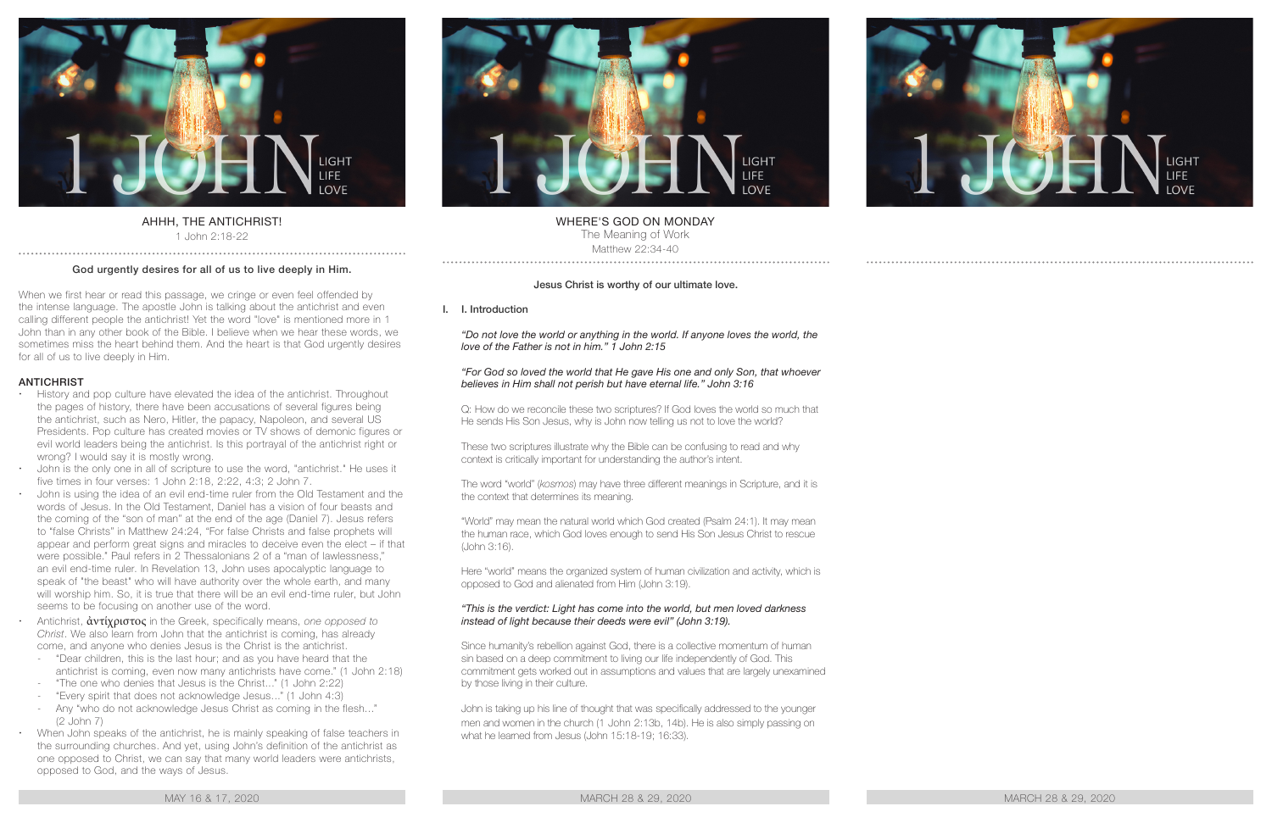

# AHHH, THE ANTICHRIST!

1 John 2:18-22 . . . . . . . . . . . . . .

#### God urgently desires for all of us to live deeply in Him.

When we first hear or read this passage, we cringe or even feel offended by the intense language. The apostle John is talking about the antichrist and even calling different people the antichrist! Yet the word "love" is mentioned more in 1 John than in any other book of the Bible. I believe when we hear these words, we sometimes miss the heart behind them. And the heart is that God urgently desires for all of us to live deeply in Him.

#### **ANTICHRIST**

- History and pop culture have elevated the idea of the antichrist. Throughout the pages of history, there have been accusations of several figures being the antichrist, such as Nero, Hitler, the papacy, Napoleon, and several US Presidents. Pop culture has created movies or TV shows of demonic figures or evil world leaders being the antichrist. Is this portrayal of the antichrist right or wrong? I would say it is mostly wrong.
- John is the only one in all of scripture to use the word, "antichrist." He uses it five times in four verses: 1 John 2:18, 2:22, 4:3; 2 John 7.
- John is using the idea of an evil end-time ruler from the Old Testament and the words of Jesus. In the Old Testament, Daniel has a vision of four beasts and the coming of the "son of man" at the end of the age (Daniel 7). Jesus refers to "false Christs" in Matthew 24:24, "For false Christs and false prophets will appear and perform great signs and miracles to deceive even the elect – if that were possible." Paul refers in 2 Thessalonians 2 of a "man of lawlessness," an evil end-time ruler. In Revelation 13, John uses apocalyptic language to speak of "the beast" who will have authority over the whole earth, and many will worship him. So, it is true that there will be an evil end-time ruler, but John seems to be focusing on another use of the word.
	- x Antichrist, ἀντίχριστος in the Greek, specifically means, *one opposed to Christ*. We also learn from John that the antichrist is coming, has already come, and anyone who denies Jesus is the Christ is the antichrist.
		- "Dear children, this is the last hour; and as you have heard that the antichrist is coming, even now many antichrists have come." (1 John 2:18)
		- "The one who denies that Jesus is the Christ..." (1 John 2:22)
		- "Every spirit that does not acknowledge Jesus..." (1 John 4:3)
		- Any "who do not acknowledge Jesus Christ as coming in the flesh..." (2 John 7)
	- When John speaks of the antichrist, he is mainly speaking of false teachers in the surrounding churches. And yet, using John's definition of the antichrist as one opposed to Christ, we can say that many world leaders were antichrists, opposed to God, and the ways of Jesus.